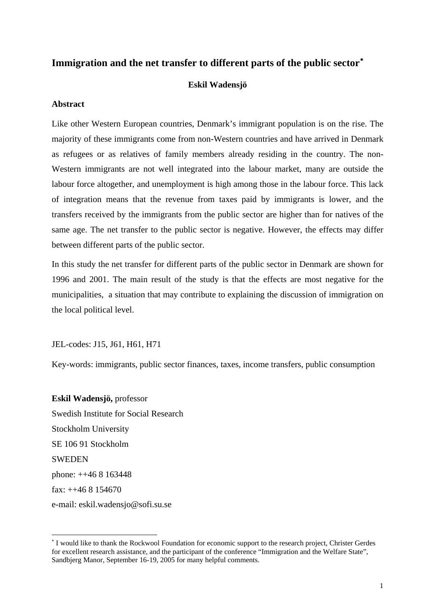# **Immigration and the net transfer to different parts of the public sector<sup>[∗](#page-0-0)</sup>**

# **Eskil Wadensjö**

## **Abstract**

Like other Western European countries, Denmark's immigrant population is on the rise. The majority of these immigrants come from non-Western countries and have arrived in Denmark as refugees or as relatives of family members already residing in the country. The non-Western immigrants are not well integrated into the labour market, many are outside the labour force altogether, and unemployment is high among those in the labour force. This lack of integration means that the revenue from taxes paid by immigrants is lower, and the transfers received by the immigrants from the public sector are higher than for natives of the same age. The net transfer to the public sector is negative. However, the effects may differ between different parts of the public sector.

In this study the net transfer for different parts of the public sector in Denmark are shown for 1996 and 2001. The main result of the study is that the effects are most negative for the municipalities, a situation that may contribute to explaining the discussion of immigration on the local political level.

JEL-codes: J15, J61, H61, H71

Key-words: immigrants, public sector finances, taxes, income transfers, public consumption

**Eskil Wadensjö,** professor Swedish Institute for Social Research Stockholm University SE 106 91 Stockholm **SWEDEN** phone: ++46 8 163448 fax: ++46 8 154670 e-mail: eskil.wadensjo@sofi.su.se

1

<span id="page-0-0"></span><sup>∗</sup> I would like to thank the Rockwool Foundation for economic support to the research project, Christer Gerdes for excellent research assistance, and the participant of the conference "Immigration and the Welfare State", Sandbierg Manor, September 16-19, 2005 for many helpful comments.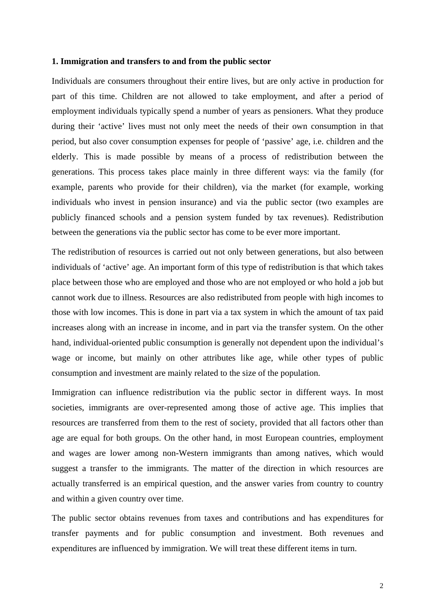### **1. Immigration and transfers to and from the public sector**

Individuals are consumers throughout their entire lives, but are only active in production for part of this time. Children are not allowed to take employment, and after a period of employment individuals typically spend a number of years as pensioners. What they produce during their 'active' lives must not only meet the needs of their own consumption in that period, but also cover consumption expenses for people of 'passive' age, i.e. children and the elderly. This is made possible by means of a process of redistribution between the generations. This process takes place mainly in three different ways: via the family (for example, parents who provide for their children), via the market (for example, working individuals who invest in pension insurance) and via the public sector (two examples are publicly financed schools and a pension system funded by tax revenues). Redistribution between the generations via the public sector has come to be ever more important.

The redistribution of resources is carried out not only between generations, but also between individuals of 'active' age. An important form of this type of redistribution is that which takes place between those who are employed and those who are not employed or who hold a job but cannot work due to illness. Resources are also redistributed from people with high incomes to those with low incomes. This is done in part via a tax system in which the amount of tax paid increases along with an increase in income, and in part via the transfer system. On the other hand, individual-oriented public consumption is generally not dependent upon the individual's wage or income, but mainly on other attributes like age, while other types of public consumption and investment are mainly related to the size of the population.

Immigration can influence redistribution via the public sector in different ways. In most societies, immigrants are over-represented among those of active age. This implies that resources are transferred from them to the rest of society, provided that all factors other than age are equal for both groups. On the other hand, in most European countries, employment and wages are lower among non-Western immigrants than among natives, which would suggest a transfer to the immigrants. The matter of the direction in which resources are actually transferred is an empirical question, and the answer varies from country to country and within a given country over time.

The public sector obtains revenues from taxes and contributions and has expenditures for transfer payments and for public consumption and investment. Both revenues and expenditures are influenced by immigration. We will treat these different items in turn.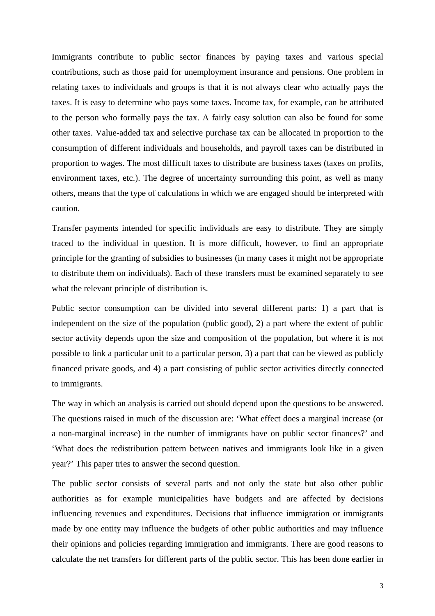Immigrants contribute to public sector finances by paying taxes and various special contributions, such as those paid for unemployment insurance and pensions. One problem in relating taxes to individuals and groups is that it is not always clear who actually pays the taxes. It is easy to determine who pays some taxes. Income tax, for example, can be attributed to the person who formally pays the tax. A fairly easy solution can also be found for some other taxes. Value-added tax and selective purchase tax can be allocated in proportion to the consumption of different individuals and households, and payroll taxes can be distributed in proportion to wages. The most difficult taxes to distribute are business taxes (taxes on profits, environment taxes, etc.). The degree of uncertainty surrounding this point, as well as many others, means that the type of calculations in which we are engaged should be interpreted with caution.

Transfer payments intended for specific individuals are easy to distribute. They are simply traced to the individual in question. It is more difficult, however, to find an appropriate principle for the granting of subsidies to businesses (in many cases it might not be appropriate to distribute them on individuals). Each of these transfers must be examined separately to see what the relevant principle of distribution is.

Public sector consumption can be divided into several different parts: 1) a part that is independent on the size of the population (public good), 2) a part where the extent of public sector activity depends upon the size and composition of the population, but where it is not possible to link a particular unit to a particular person, 3) a part that can be viewed as publicly financed private goods, and 4) a part consisting of public sector activities directly connected to immigrants.

The way in which an analysis is carried out should depend upon the questions to be answered. The questions raised in much of the discussion are: 'What effect does a marginal increase (or a non-marginal increase) in the number of immigrants have on public sector finances?' and 'What does the redistribution pattern between natives and immigrants look like in a given year?' This paper tries to answer the second question.

The public sector consists of several parts and not only the state but also other public authorities as for example municipalities have budgets and are affected by decisions influencing revenues and expenditures. Decisions that influence immigration or immigrants made by one entity may influence the budgets of other public authorities and may influence their opinions and policies regarding immigration and immigrants. There are good reasons to calculate the net transfers for different parts of the public sector. This has been done earlier in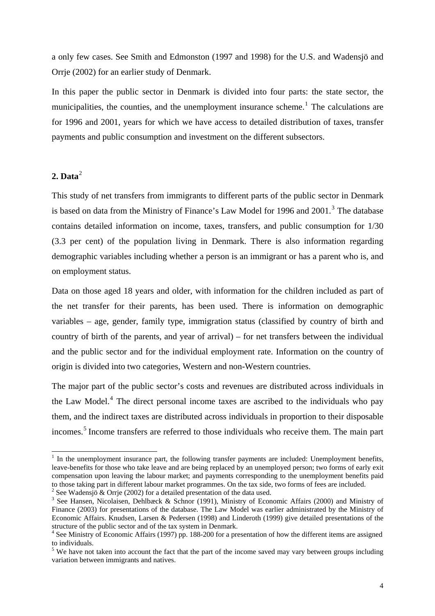a only few cases. See Smith and Edmonston (1997 and 1998) for the U.S. and Wadensjö and Orrje (2002) for an earlier study of Denmark.

In this paper the public sector in Denmark is divided into four parts: the state sector, the municipalities, the counties, and the unemployment insurance scheme.<sup>[1](#page-3-0)</sup> The calculations are for 1996 and 2001, years for which we have access to detailed distribution of taxes, transfer payments and public consumption and investment on the different subsectors.

# **2. Data**[2](#page-3-1)

-

This study of net transfers from immigrants to different parts of the public sector in Denmark is based on data from the Ministry of Finance's Law Model for 1996 and  $2001$ .<sup>[3](#page-3-2)</sup> The database contains detailed information on income, taxes, transfers, and public consumption for 1/30 (3.3 per cent) of the population living in Denmark. There is also information regarding demographic variables including whether a person is an immigrant or has a parent who is, and on employment status.

Data on those aged 18 years and older, with information for the children included as part of the net transfer for their parents, has been used. There is information on demographic variables – age, gender, family type, immigration status (classified by country of birth and country of birth of the parents, and year of arrival) – for net transfers between the individual and the public sector and for the individual employment rate. Information on the country of origin is divided into two categories, Western and non-Western countries.

The major part of the public sector's costs and revenues are distributed across individuals in the Law Model.<sup>[4](#page-3-3)</sup> The direct personal income taxes are ascribed to the individuals who pay them, and the indirect taxes are distributed across individuals in proportion to their disposable incomes.<sup>[5](#page-3-4)</sup> Income transfers are referred to those individuals who receive them. The main part

<span id="page-3-0"></span> $<sup>1</sup>$  In the unemployment insurance part, the following transfer payments are included: Unemployment benefits,</sup> leave-benefits for those who take leave and are being replaced by an unemployed person; two forms of early exit compensation upon leaving the labour market; and payments corresponding to the unemployment benefits paid to those taking part in different labour market programmes. On the tax side, two forms of fees are included.

<span id="page-3-1"></span><sup>&</sup>lt;sup>2</sup> See Wadensjö & Orrje (2002) for a detailed presentation of the data used.

<span id="page-3-2"></span><sup>&</sup>lt;sup>3</sup> See Hansen, Nicolaisen, Dehlbæck & Schnor (1991), Ministry of Economic Affairs (2000) and Ministry of Finance (2003) for presentations of the database. The Law Model was earlier administrated by the Ministry of Economic Affairs. Knudsen, Larsen & Pedersen (1998) and Linderoth (1999) give detailed presentations of the structure of the public sector and of the tax system in Denmark. 4

<span id="page-3-3"></span><sup>&</sup>lt;sup>4</sup> See Ministry of Economic Affairs (1997) pp. 188-200 for a presentation of how the different items are assigned to individuals.

<span id="page-3-4"></span><sup>&</sup>lt;sup>5</sup> We have not taken into account the fact that the part of the income saved may vary between groups including variation between immigrants and natives.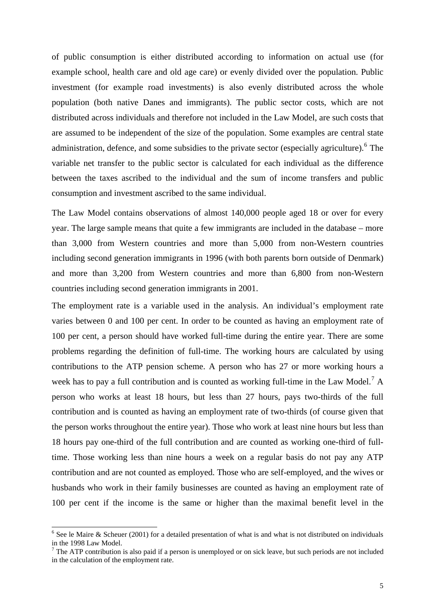of public consumption is either distributed according to information on actual use (for example school, health care and old age care) or evenly divided over the population. Public investment (for example road investments) is also evenly distributed across the whole population (both native Danes and immigrants). The public sector costs, which are not distributed across individuals and therefore not included in the Law Model, are such costs that are assumed to be independent of the size of the population. Some examples are central state administration, defence, and some subsidies to the private sector (especially agriculture). <sup>[6](#page-4-0)</sup> The variable net transfer to the public sector is calculated for each individual as the difference between the taxes ascribed to the individual and the sum of income transfers and public consumption and investment ascribed to the same individual.

The Law Model contains observations of almost 140,000 people aged 18 or over for every year. The large sample means that quite a few immigrants are included in the database – more than 3,000 from Western countries and more than 5,000 from non-Western countries including second generation immigrants in 1996 (with both parents born outside of Denmark) and more than 3,200 from Western countries and more than 6,800 from non-Western countries including second generation immigrants in 2001.

The employment rate is a variable used in the analysis. An individual's employment rate varies between 0 and 100 per cent. In order to be counted as having an employment rate of 100 per cent, a person should have worked full-time during the entire year. There are some problems regarding the definition of full-time. The working hours are calculated by using contributions to the ATP pension scheme. A person who has 27 or more working hours a week has to pay a full contribution and is counted as working full-time in the Law Model.<sup>[7](#page-4-1)</sup> A person who works at least 18 hours, but less than 27 hours, pays two-thirds of the full contribution and is counted as having an employment rate of two-thirds (of course given that the person works throughout the entire year). Those who work at least nine hours but less than 18 hours pay one-third of the full contribution and are counted as working one-third of fulltime. Those working less than nine hours a week on a regular basis do not pay any ATP contribution and are not counted as employed. Those who are self-employed, and the wives or husbands who work in their family businesses are counted as having an employment rate of 100 per cent if the income is the same or higher than the maximal benefit level in the

<span id="page-4-0"></span> $6$  See le Maire & Scheuer (2001) for a detailed presentation of what is and what is not distributed on individuals in the 1998 Law Model.

<span id="page-4-1"></span> $<sup>7</sup>$  The ATP contribution is also paid if a person is unemployed or on sick leave, but such periods are not included</sup> in the calculation of the employment rate.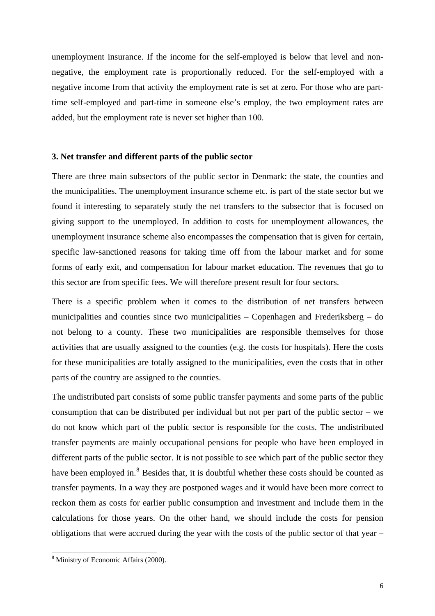unemployment insurance. If the income for the self-employed is below that level and nonnegative, the employment rate is proportionally reduced. For the self-employed with a negative income from that activity the employment rate is set at zero. For those who are parttime self-employed and part-time in someone else's employ, the two employment rates are added, but the employment rate is never set higher than 100.

# **3. Net transfer and different parts of the public sector**

There are three main subsectors of the public sector in Denmark: the state, the counties and the municipalities. The unemployment insurance scheme etc. is part of the state sector but we found it interesting to separately study the net transfers to the subsector that is focused on giving support to the unemployed. In addition to costs for unemployment allowances, the unemployment insurance scheme also encompasses the compensation that is given for certain, specific law-sanctioned reasons for taking time off from the labour market and for some forms of early exit, and compensation for labour market education. The revenues that go to this sector are from specific fees. We will therefore present result for four sectors.

There is a specific problem when it comes to the distribution of net transfers between municipalities and counties since two municipalities – Copenhagen and Frederiksberg – do not belong to a county. These two municipalities are responsible themselves for those activities that are usually assigned to the counties (e.g. the costs for hospitals). Here the costs for these municipalities are totally assigned to the municipalities, even the costs that in other parts of the country are assigned to the counties.

The undistributed part consists of some public transfer payments and some parts of the public consumption that can be distributed per individual but not per part of the public sector – we do not know which part of the public sector is responsible for the costs. The undistributed transfer payments are mainly occupational pensions for people who have been employed in different parts of the public sector. It is not possible to see which part of the public sector they have been employed in.<sup>[8](#page-5-0)</sup> Besides that, it is doubtful whether these costs should be counted as transfer payments. In a way they are postponed wages and it would have been more correct to reckon them as costs for earlier public consumption and investment and include them in the calculations for those years. On the other hand, we should include the costs for pension obligations that were accrued during the year with the costs of the public sector of that year –

<span id="page-5-0"></span> 8 Ministry of Economic Affairs (2000).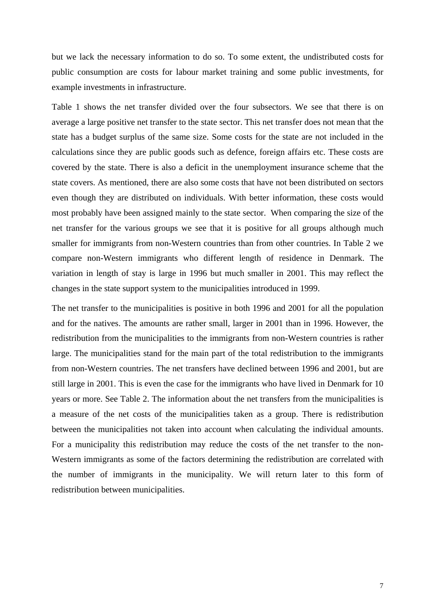but we lack the necessary information to do so. To some extent, the undistributed costs for public consumption are costs for labour market training and some public investments, for example investments in infrastructure.

Table 1 shows the net transfer divided over the four subsectors. We see that there is on average a large positive net transfer to the state sector. This net transfer does not mean that the state has a budget surplus of the same size. Some costs for the state are not included in the calculations since they are public goods such as defence, foreign affairs etc. These costs are covered by the state. There is also a deficit in the unemployment insurance scheme that the state covers. As mentioned, there are also some costs that have not been distributed on sectors even though they are distributed on individuals. With better information, these costs would most probably have been assigned mainly to the state sector. When comparing the size of the net transfer for the various groups we see that it is positive for all groups although much smaller for immigrants from non-Western countries than from other countries. In Table 2 we compare non-Western immigrants who different length of residence in Denmark. The variation in length of stay is large in 1996 but much smaller in 2001. This may reflect the changes in the state support system to the municipalities introduced in 1999.

The net transfer to the municipalities is positive in both 1996 and 2001 for all the population and for the natives. The amounts are rather small, larger in 2001 than in 1996. However, the redistribution from the municipalities to the immigrants from non-Western countries is rather large. The municipalities stand for the main part of the total redistribution to the immigrants from non-Western countries. The net transfers have declined between 1996 and 2001, but are still large in 2001. This is even the case for the immigrants who have lived in Denmark for 10 years or more. See Table 2. The information about the net transfers from the municipalities is a measure of the net costs of the municipalities taken as a group. There is redistribution between the municipalities not taken into account when calculating the individual amounts. For a municipality this redistribution may reduce the costs of the net transfer to the non-Western immigrants as some of the factors determining the redistribution are correlated with the number of immigrants in the municipality. We will return later to this form of redistribution between municipalities.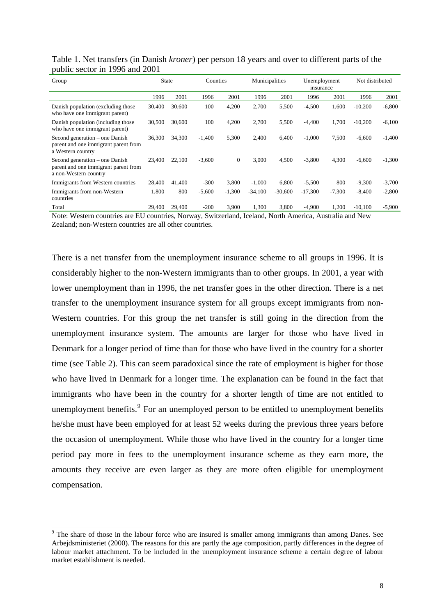| Group                                                                                           |        | <b>State</b><br>Counties |          |              | Municipalities |           | Unemployment<br>insurance |          | Not distributed |          |
|-------------------------------------------------------------------------------------------------|--------|--------------------------|----------|--------------|----------------|-----------|---------------------------|----------|-----------------|----------|
|                                                                                                 | 1996   | 2001                     | 1996     | 2001         | 1996           | 2001      | 1996                      | 2001     | 1996            | 2001     |
| Danish population (excluding those)<br>who have one immigrant parent)                           | 30,400 | 30,600                   | 100      | 4,200        | 2,700          | 5,500     | $-4,500$                  | 1,600    | $-10,200$       | $-6,800$ |
| Danish population (including those)<br>who have one immigrant parent)                           | 30,500 | 30,600                   | 100      | 4,200        | 2,700          | 5,500     | $-4,400$                  | 1.700    | $-10,200$       | $-6,100$ |
| Second generation – one Danish<br>parent and one immigrant parent from<br>a Western country     | 36,300 | 34,300                   | $-1,400$ | 5,300        | 2,400          | 6,400     | $-1,000$                  | 7,500    | $-6,600$        | $-1,400$ |
| Second generation – one Danish<br>parent and one immigrant parent from<br>a non-Western country | 23,400 | 22,100                   | $-3,600$ | $\mathbf{0}$ | 3,000          | 4,500     | $-3,800$                  | 4,300    | $-6,600$        | $-1,300$ |
| Immigrants from Western countries                                                               | 28,400 | 41,400                   | $-300$   | 3,800        | $-1,000$       | 6,800     | $-5,500$                  | 800      | $-9,300$        | $-3,700$ |
| Immigrants from non-Western<br>countries                                                        | 1,800  | 800                      | $-5,600$ | $-1,300$     | $-34.100$      | $-30,600$ | $-17,300$                 | $-7,300$ | $-8,400$        | $-2,800$ |
| Total                                                                                           | 29.400 | 29,400                   | $-200$   | 3,900        | 1.300          | 3,800     | $-4.900$                  | 1.200    | $-10.100$       | $-5,900$ |

Table 1. Net transfers (in Danish *kroner*) per person 18 years and over to different parts of the public sector in 1996 and 2001

Note: Western countries are EU countries, Norway, Switzerland, Iceland, North America, Australia and New Zealand; non-Western countries are all other countries.

There is a net transfer from the unemployment insurance scheme to all groups in 1996. It is considerably higher to the non-Western immigrants than to other groups. In 2001, a year with lower unemployment than in 1996, the net transfer goes in the other direction. There is a net transfer to the unemployment insurance system for all groups except immigrants from non-Western countries. For this group the net transfer is still going in the direction from the unemployment insurance system. The amounts are larger for those who have lived in Denmark for a longer period of time than for those who have lived in the country for a shorter time (see Table 2). This can seem paradoxical since the rate of employment is higher for those who have lived in Denmark for a longer time. The explanation can be found in the fact that immigrants who have been in the country for a shorter length of time are not entitled to unemployment benefits. $9$  For an unemployed person to be entitled to unemployment benefits he/she must have been employed for at least 52 weeks during the previous three years before the occasion of unemployment. While those who have lived in the country for a longer time period pay more in fees to the unemployment insurance scheme as they earn more, the amounts they receive are even larger as they are more often eligible for unemployment compensation.

<span id="page-7-0"></span><sup>&</sup>lt;sup>9</sup> The share of those in the labour force who are insured is smaller among immigrants than among Danes. See Arbejdsministeriet (2000). The reasons for this are partly the age composition, partly differences in the degree of labour market attachment. To be included in the unemployment insurance scheme a certain degree of labour market establishment is needed.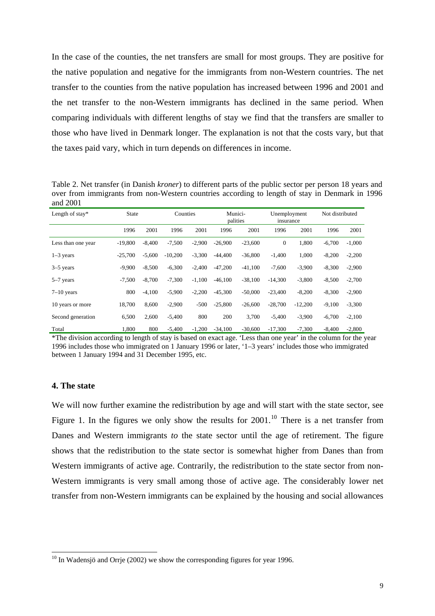In the case of the counties, the net transfers are small for most groups. They are positive for the native population and negative for the immigrants from non-Western countries. The net transfer to the counties from the native population has increased between 1996 and 2001 and the net transfer to the non-Western immigrants has declined in the same period. When comparing individuals with different lengths of stay we find that the transfers are smaller to those who have lived in Denmark longer. The explanation is not that the costs vary, but that the taxes paid vary, which in turn depends on differences in income.

Table 2. Net transfer (in Danish *kroner*) to different parts of the public sector per person 18 years and over from immigrants from non-Western countries according to length of stay in Denmark in 1996 and 2001

| Length of stay*    | <b>State</b><br>Counties |          |           | Munici-<br>palities |           | Unemployment<br>insurance |           | Not distributed |          |          |
|--------------------|--------------------------|----------|-----------|---------------------|-----------|---------------------------|-----------|-----------------|----------|----------|
|                    | 1996                     | 2001     | 1996      | 2001                | 1996      | 2001                      | 1996      | 2001            | 1996     | 2001     |
| Less than one year | $-19,800$                | $-8,400$ | $-7,500$  | $-2,900$            | $-26,900$ | $-23,600$                 | $\theta$  | 1,800           | $-6,700$ | $-1,000$ |
| $1-3$ years        | $-25,700$                | $-5,600$ | $-10,200$ | $-3,300$            | $-44.400$ | $-36,800$                 | $-1,400$  | 1,000           | $-8,200$ | $-2,200$ |
| $3-5$ years        | $-9,900$                 | $-8,500$ | $-6,300$  | $-2,400$            | $-47,200$ | $-41,100$                 | $-7,600$  | $-3,900$        | $-8,300$ | $-2,900$ |
| $5-7$ years        | $-7,500$                 | $-8,700$ | $-7,300$  | $-1,100$            | $-46,100$ | $-38.100$                 | $-14,300$ | $-3,800$        | $-8,500$ | $-2,700$ |
| $7-10$ years       | 800                      | $-4,100$ | $-5,900$  | $-2,200$            | $-45,300$ | $-50,000$                 | $-23,400$ | $-8,200$        | $-8,300$ | $-2,900$ |
| 10 years or more   | 18.700                   | 8.600    | $-2,900$  | $-500$              | $-25,800$ | $-26,600$                 | $-28,700$ | $-12,200$       | $-9,100$ | $-3,300$ |
| Second generation  | 6,500                    | 2,600    | $-5,400$  | 800                 | 200       | 3,700                     | $-5,400$  | $-3,900$        | $-6,700$ | $-2,100$ |
| Total              | 1.800                    | 800      | $-5.400$  | $-1,200$            | $-34.100$ | $-30,600$                 | $-17.300$ | $-7,300$        | $-8.400$ | $-2,800$ |

\*The division according to length of stay is based on exact age. 'Less than one year' in the column for the year 1996 includes those who immigrated on 1 January 1996 or later, '1–3 years' includes those who immigrated between 1 January 1994 and 31 December 1995, etc.

# **4. The state**

<span id="page-8-1"></span><span id="page-8-0"></span>-

We will now further examine the redistribution by age and will start with the state sector, see Figure 1. In the figures we only show the results for  $2001$ .<sup>[10](#page-8-0)</sup> There is a net transfer from Danes and Western immigrants *to* the state sector until the age of retirement. The figure shows that the redistribution to the state sector is somewhat higher from Danes than from Western immigrants of active age. Contrarily, the redistribution to the state sector from non-Western immigrants is very small among those of active age. The considerably lower net transfer from non-Western immigrants can be explained by the housing and social allowances

 $10$  In Wadensjö and Orrje (2002) we show the corresponding figures for year 1996.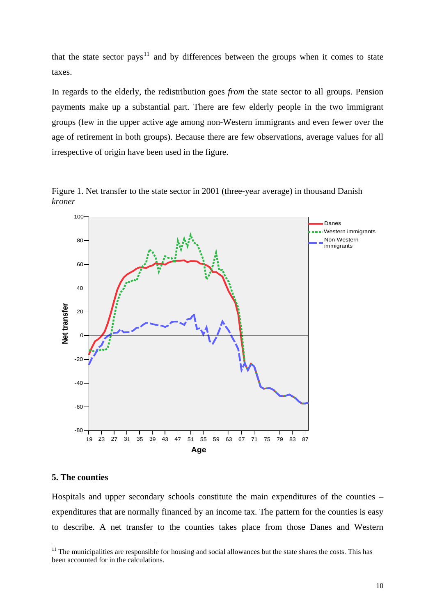that the state sector pays<sup>[11](#page-8-1)</sup> and by differences between the groups when it comes to state taxes.

In regards to the elderly, the redistribution goes *from* the state sector to all groups. Pension payments make up a substantial part. There are few elderly people in the two immigrant groups (few in the upper active age among non-Western immigrants and even fewer over the age of retirement in both groups). Because there are few observations, average values for all irrespective of origin have been used in the figure.





# **5. The counties**

-

Hospitals and upper secondary schools constitute the main expenditures of the counties – expenditures that are normally financed by an income tax. The pattern for the counties is easy to describe. A net transfer to the counties takes place from those Danes and Western

 $11$  The municipalities are responsible for housing and social allowances but the state shares the costs. This has been accounted for in the calculations.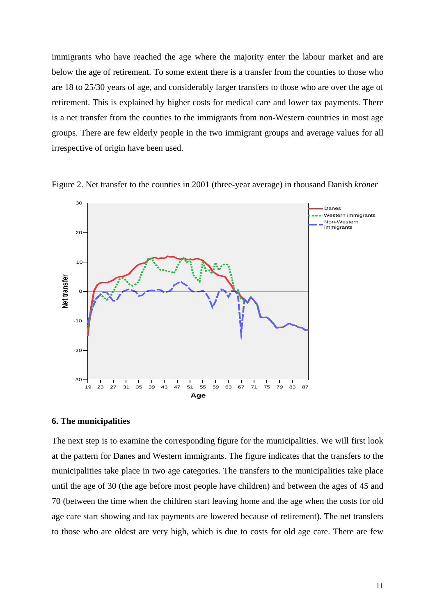immigrants who have reached the age where the majority enter the labour market and are below the age of retirement. To some extent there is a transfer from the counties to those who are 18 to 25/30 years of age, and considerably larger transfers to those who are over the age of retirement. This is explained by higher costs for medical care and lower tax payments. There is a net transfer from the counties to the immigrants from non-Western countries in most age groups. There are few elderly people in the two immigrant groups and average values for all irrespective of origin have been used.



Figure 2. Net transfer to the counties in 2001 (three-year average) in thousand Danish *kroner*

#### **6. The municipalities**

The next step is to examine the corresponding figure for the municipalities. We will first look at the pattern for Danes and Western immigrants. The figure indicates that the transfers *to* the municipalities take place in two age categories. The transfers to the municipalities take place until the age of 30 (the age before most people have children) and between the ages of 45 and 70 (between the time when the children start leaving home and the age when the costs for old age care start showing and tax payments are lowered because of retirement). The net transfers to those who are oldest are very high, which is due to costs for old age care. There are few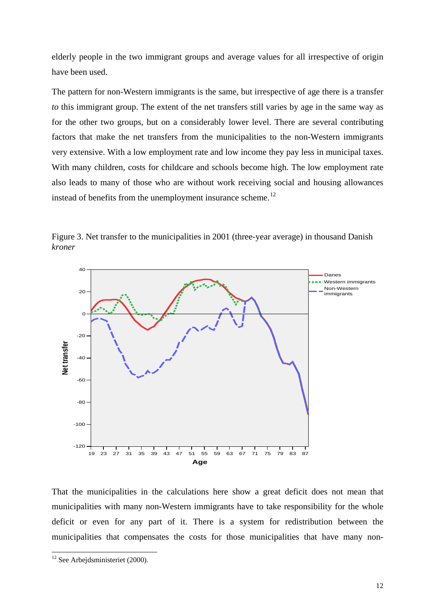elderly people in the two immigrant groups and average values for all irrespective of origin have been used.

The pattern for non-Western immigrants is the same, but irrespective of age there is a transfer *to* this immigrant group. The extent of the net transfers still varies by age in the same way as for the other two groups, but on a considerably lower level. There are several contributing factors that make the net transfers from the municipalities to the non-Western immigrants very extensive. With a low employment rate and low income they pay less in municipal taxes. With many children, costs for childcare and schools become high. The low employment rate also leads to many of those who are without work receiving social and housing allowances instead of benefits from the unemployment insurance scheme.<sup>[12](#page-11-0)</sup>





That the municipalities in the calculations here show a great deficit does not mean that municipalities with many non-Western immigrants have to take responsibility for the whole deficit or even for any part of it. There is a system for redistribution between the municipalities that compensates the costs for those municipalities that have many non-

<span id="page-11-0"></span> $12$  See Arbejdsministeriet (2000).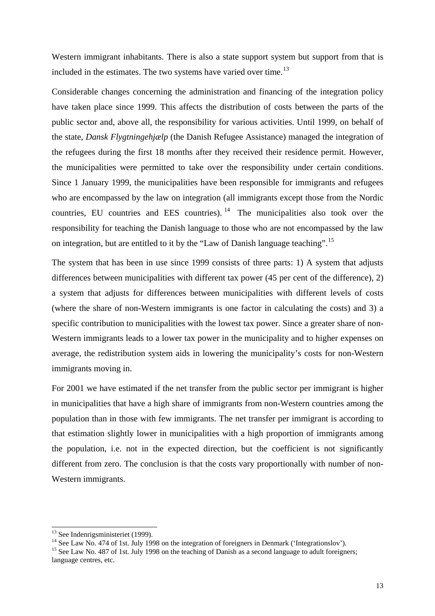Western immigrant inhabitants. There is also a state support system but support from that is included in the estimates. The two systems have varied over time.<sup>[13](#page-12-0)</sup>

Considerable changes concerning the administration and financing of the integration policy have taken place since 1999. This affects the distribution of costs between the parts of the public sector and, above all, the responsibility for various activities. Until 1999, on behalf of the state, *Dansk Flygtningehjælp* (the Danish Refugee Assistance) managed the integration of the refugees during the first 18 months after they received their residence permit. However, the municipalities were permitted to take over the responsibility under certain conditions. Since 1 January 1999, the municipalities have been responsible for immigrants and refugees who are encompassed by the law on integration (all immigrants except those from the Nordic countries, EU countries and EES countries).  $14$  The municipalities also took over the responsibility for teaching the Danish language to those who are not encompassed by the law on integration, but are entitled to it by the "Law of Danish language teaching".[15](#page-12-2)

The system that has been in use since 1999 consists of three parts: 1) A system that adjusts differences between municipalities with different tax power (45 per cent of the difference), 2) a system that adjusts for differences between municipalities with different levels of costs (where the share of non-Western immigrants is one factor in calculating the costs) and 3) a specific contribution to municipalities with the lowest tax power. Since a greater share of non-Western immigrants leads to a lower tax power in the municipality and to higher expenses on average, the redistribution system aids in lowering the municipality's costs for non-Western immigrants moving in.

For 2001 we have estimated if the net transfer from the public sector per immigrant is higher in municipalities that have a high share of immigrants from non-Western countries among the population than in those with few immigrants. The net transfer per immigrant is according to that estimation slightly lower in municipalities with a high proportion of immigrants among the population, i.e. not in the expected direction, but the coefficient is not significantly different from zero. The conclusion is that the costs vary proportionally with number of non-Western immigrants.

<span id="page-12-0"></span> $13$  See Indenrigsministeriet (1999).

<sup>&</sup>lt;sup>14</sup> See Law No. 474 of 1st. July 1998 on the integration of foreigners in Denmark ('Integrationslov').

<span id="page-12-2"></span><span id="page-12-1"></span><sup>&</sup>lt;sup>15</sup> See Law No. 487 of 1st. July 1998 on the teaching of Danish as a second language to adult foreigners; language centres, etc.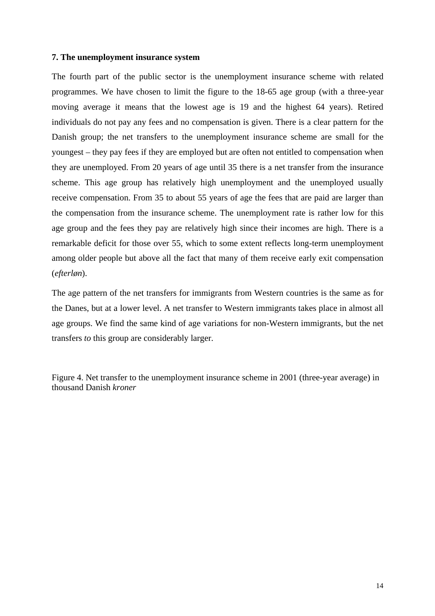# **7. The unemployment insurance system**

The fourth part of the public sector is the unemployment insurance scheme with related programmes. We have chosen to limit the figure to the 18-65 age group (with a three-year moving average it means that the lowest age is 19 and the highest 64 years). Retired individuals do not pay any fees and no compensation is given. There is a clear pattern for the Danish group; the net transfers to the unemployment insurance scheme are small for the youngest – they pay fees if they are employed but are often not entitled to compensation when they are unemployed. From 20 years of age until 35 there is a net transfer from the insurance scheme. This age group has relatively high unemployment and the unemployed usually receive compensation. From 35 to about 55 years of age the fees that are paid are larger than the compensation from the insurance scheme. The unemployment rate is rather low for this age group and the fees they pay are relatively high since their incomes are high. There is a remarkable deficit for those over 55, which to some extent reflects long-term unemployment among older people but above all the fact that many of them receive early exit compensation (*efterløn*).

The age pattern of the net transfers for immigrants from Western countries is the same as for the Danes, but at a lower level. A net transfer to Western immigrants takes place in almost all age groups. We find the same kind of age variations for non-Western immigrants, but the net transfers *to* this group are considerably larger.

Figure 4. Net transfer to the unemployment insurance scheme in 2001 (three-year average) in thousand Danish *kroner*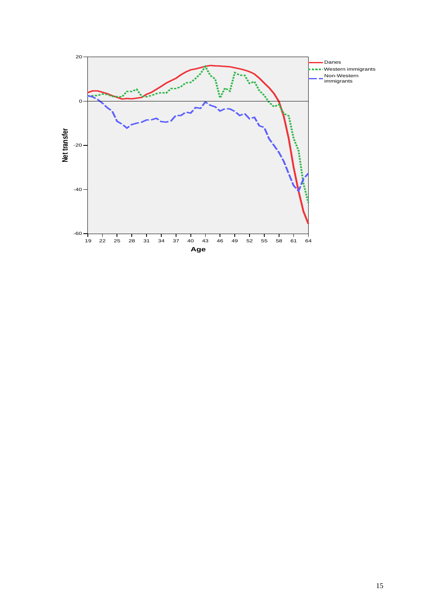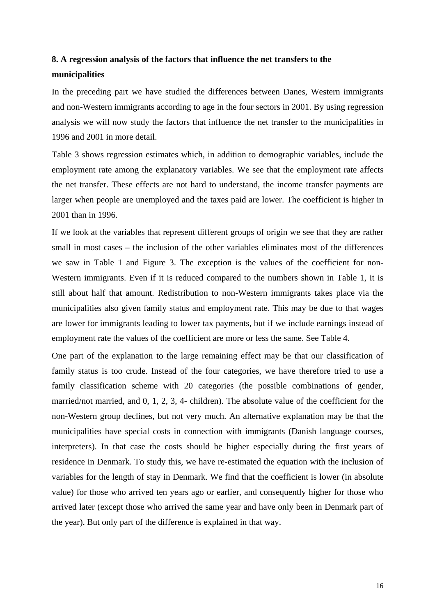# **8. A regression analysis of the factors that influence the net transfers to the municipalities**

In the preceding part we have studied the differences between Danes, Western immigrants and non-Western immigrants according to age in the four sectors in 2001. By using regression analysis we will now study the factors that influence the net transfer to the municipalities in 1996 and 2001 in more detail.

Table 3 shows regression estimates which, in addition to demographic variables, include the employment rate among the explanatory variables. We see that the employment rate affects the net transfer. These effects are not hard to understand, the income transfer payments are larger when people are unemployed and the taxes paid are lower. The coefficient is higher in 2001 than in 1996.

If we look at the variables that represent different groups of origin we see that they are rather small in most cases – the inclusion of the other variables eliminates most of the differences we saw in Table 1 and Figure 3. The exception is the values of the coefficient for non-Western immigrants. Even if it is reduced compared to the numbers shown in Table 1, it is still about half that amount. Redistribution to non-Western immigrants takes place via the municipalities also given family status and employment rate. This may be due to that wages are lower for immigrants leading to lower tax payments, but if we include earnings instead of employment rate the values of the coefficient are more or less the same. See Table 4.

One part of the explanation to the large remaining effect may be that our classification of family status is too crude. Instead of the four categories, we have therefore tried to use a family classification scheme with 20 categories (the possible combinations of gender, married/not married, and 0, 1, 2, 3, 4- children). The absolute value of the coefficient for the non-Western group declines, but not very much. An alternative explanation may be that the municipalities have special costs in connection with immigrants (Danish language courses, interpreters). In that case the costs should be higher especially during the first years of residence in Denmark. To study this, we have re-estimated the equation with the inclusion of variables for the length of stay in Denmark. We find that the coefficient is lower (in absolute value) for those who arrived ten years ago or earlier, and consequently higher for those who arrived later (except those who arrived the same year and have only been in Denmark part of the year). But only part of the difference is explained in that way.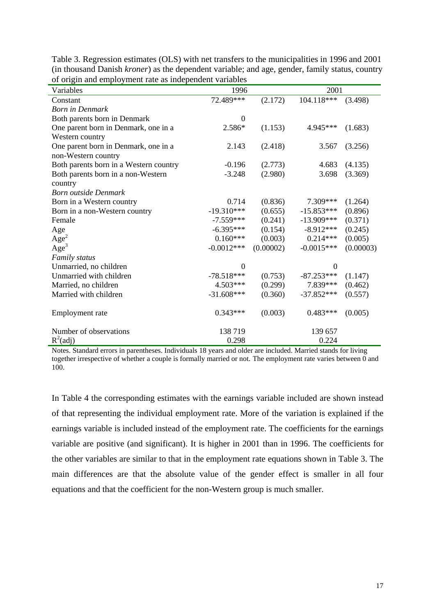| or origin and employment rate as maependent variables<br>Variables | 1996         |           | 2001           |           |  |
|--------------------------------------------------------------------|--------------|-----------|----------------|-----------|--|
| Constant                                                           | 72.489***    | (2.172)   | $104.118***$   | (3.498)   |  |
| <b>Born in Denmark</b>                                             |              |           |                |           |  |
| Both parents born in Denmark                                       | $\theta$     |           |                |           |  |
| One parent born in Denmark, one in a                               | 2.586*       | (1.153)   | 4.945***       | (1.683)   |  |
| Western country                                                    |              |           |                |           |  |
|                                                                    |              |           |                |           |  |
| One parent born in Denmark, one in a<br>non-Western country        | 2.143        | (2.418)   | 3.567          | (3.256)   |  |
| Both parents born in a Western country                             | $-0.196$     | (2.773)   | 4.683          | (4.135)   |  |
| Both parents born in a non-Western                                 | $-3.248$     | (2.980)   | 3.698          | (3.369)   |  |
| country                                                            |              |           |                |           |  |
| <b>Born outside Denmark</b>                                        |              |           |                |           |  |
| Born in a Western country                                          | 0.714        | (0.836)   | 7.309***       | (1.264)   |  |
| Born in a non-Western country                                      | $-19.310***$ | (0.655)   | $-15.853***$   | (0.896)   |  |
| Female                                                             | $-7.559***$  | (0.241)   | $-13.909***$   | (0.371)   |  |
| Age                                                                | $-6.395***$  | (0.154)   | $-8.912***$    | (0.245)   |  |
| Age <sup>2</sup>                                                   | $0.160***$   | (0.003)   | $0.214***$     | (0.005)   |  |
| Age <sup>3</sup>                                                   | $-0.0012***$ | (0.00002) | $-0.0015***$   | (0.00003) |  |
| <b>Family status</b>                                               |              |           |                |           |  |
| Unmarried, no children                                             | $\Omega$     |           | $\overline{0}$ |           |  |
| Unmarried with children                                            | $-78.518***$ | (0.753)   | $-87.253***$   | (1.147)   |  |
| Married, no children                                               | $4.503***$   | (0.299)   | 7.839***       | (0.462)   |  |
| Married with children                                              | $-31.608***$ | (0.360)   | $-37.852***$   | (0.557)   |  |
| Employment rate                                                    | $0.343***$   | (0.003)   | $0.483***$     | (0.005)   |  |
| Number of observations                                             | 138719       |           | 139 657        |           |  |
| $R^2$ (adj)                                                        | 0.298        |           | 0.224          |           |  |

Table 3. Regression estimates (OLS) with net transfers to the municipalities in 1996 and 2001 (in thousand Danish *kroner*) as the dependent variable; and age, gender, family status, country of origin and employment rate as independent variables

Notes. Standard errors in parentheses. Individuals 18 years and older are included. Married stands for living together irrespective of whether a couple is formally married or not. The employment rate varies between 0 and 100.

In Table 4 the corresponding estimates with the earnings variable included are shown instead of that representing the individual employment rate. More of the variation is explained if the earnings variable is included instead of the employment rate. The coefficients for the earnings variable are positive (and significant). It is higher in 2001 than in 1996. The coefficients for the other variables are similar to that in the employment rate equations shown in Table 3. The main differences are that the absolute value of the gender effect is smaller in all four equations and that the coefficient for the non-Western group is much smaller.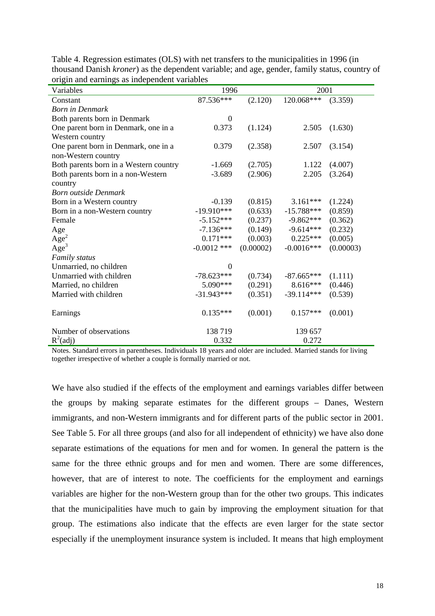| origin and carmings as mucpendent variables |                  |           |              |           |  |  |  |
|---------------------------------------------|------------------|-----------|--------------|-----------|--|--|--|
| Variables                                   | 1996             |           | 2001         |           |  |  |  |
| Constant                                    | 87.536***        | (2.120)   | 120.068***   | (3.359)   |  |  |  |
| <b>Born in Denmark</b>                      |                  |           |              |           |  |  |  |
| Both parents born in Denmark                | $\boldsymbol{0}$ |           |              |           |  |  |  |
| One parent born in Denmark, one in a        | 0.373            | (1.124)   | 2.505        | (1.630)   |  |  |  |
| Western country                             |                  |           |              |           |  |  |  |
| One parent born in Denmark, one in a        | 0.379            | (2.358)   | 2.507        | (3.154)   |  |  |  |
| non-Western country                         |                  |           |              |           |  |  |  |
| Both parents born in a Western country      | $-1.669$         | (2.705)   | 1.122        | (4.007)   |  |  |  |
| Both parents born in a non-Western          | $-3.689$         | (2.906)   | 2.205        | (3.264)   |  |  |  |
| country                                     |                  |           |              |           |  |  |  |
| <b>Born outside Denmark</b>                 |                  |           |              |           |  |  |  |
| Born in a Western country                   | $-0.139$         | (0.815)   | $3.161***$   | (1.224)   |  |  |  |
| Born in a non-Western country               | $-19.910***$     | (0.633)   | $-15.788***$ | (0.859)   |  |  |  |
| Female                                      | $-5.152***$      | (0.237)   | $-9.862***$  | (0.362)   |  |  |  |
| Age                                         | $-7.136***$      | (0.149)   | $-9.614***$  | (0.232)   |  |  |  |
| Age <sup>2</sup>                            | $0.171***$       | (0.003)   | $0.225***$   | (0.005)   |  |  |  |
| Age <sup>3</sup>                            | $-0.0012$ ***    | (0.00002) | $-0.0016***$ | (0.00003) |  |  |  |
| <b>Family status</b>                        |                  |           |              |           |  |  |  |
| Unmarried, no children                      | $\Omega$         |           |              |           |  |  |  |
| Unmarried with children                     | $-78.623***$     | (0.734)   | $-87.665***$ | (1.111)   |  |  |  |
| Married, no children                        | 5.090***         | (0.291)   | 8.616***     | (0.446)   |  |  |  |
| Married with children                       | $-31.943***$     | (0.351)   | $-39.114***$ | (0.539)   |  |  |  |
|                                             |                  |           |              |           |  |  |  |
| Earnings                                    | $0.135***$       | (0.001)   | $0.157***$   | (0.001)   |  |  |  |
|                                             |                  |           |              |           |  |  |  |
| Number of observations                      | 138719           |           | 139 657      |           |  |  |  |
| $R^2$ (adj)                                 | 0.332            |           | 0.272        |           |  |  |  |

Table 4. Regression estimates (OLS) with net transfers to the municipalities in 1996 (in thousand Danish *kroner*) as the dependent variable; and age, gender, family status, country of origin and earnings as independent variables

Notes. Standard errors in parentheses. Individuals 18 years and older are included. Married stands for living together irrespective of whether a couple is formally married or not.

We have also studied if the effects of the employment and earnings variables differ between the groups by making separate estimates for the different groups – Danes, Western immigrants, and non-Western immigrants and for different parts of the public sector in 2001. See Table 5. For all three groups (and also for all independent of ethnicity) we have also done separate estimations of the equations for men and for women. In general the pattern is the same for the three ethnic groups and for men and women. There are some differences, however, that are of interest to note. The coefficients for the employment and earnings variables are higher for the non-Western group than for the other two groups. This indicates that the municipalities have much to gain by improving the employment situation for that group. The estimations also indicate that the effects are even larger for the state sector especially if the unemployment insurance system is included. It means that high employment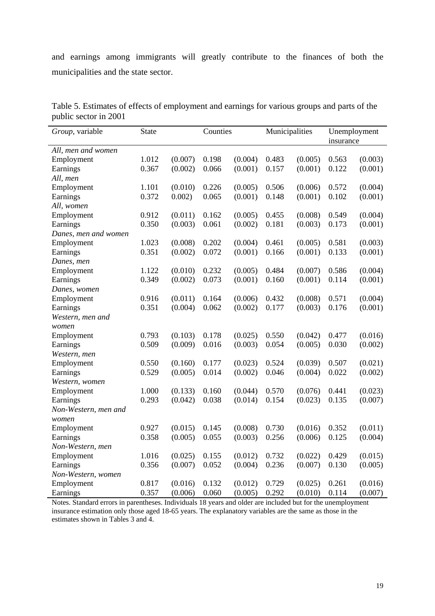and earnings among immigrants will greatly contribute to the finances of both the municipalities and the state sector.

| Group, variable      | <b>State</b> |         | Counties |         | Municipalities |         | Unemployment<br>insurance |         |
|----------------------|--------------|---------|----------|---------|----------------|---------|---------------------------|---------|
| All, men and women   |              |         |          |         |                |         |                           |         |
| Employment           | 1.012        | (0.007) | 0.198    | (0.004) | 0.483          | (0.005) | 0.563                     | (0.003) |
| Earnings             | 0.367        | (0.002) | 0.066    | (0.001) | 0.157          | (0.001) | 0.122                     | (0.001) |
| All, men             |              |         |          |         |                |         |                           |         |
| Employment           | 1.101        | (0.010) | 0.226    | (0.005) | 0.506          | (0.006) | 0.572                     | (0.004) |
| Earnings             | 0.372        | 0.002)  | 0.065    | (0.001) | 0.148          | (0.001) | 0.102                     | (0.001) |
| All, women           |              |         |          |         |                |         |                           |         |
| Employment           | 0.912        | (0.011) | 0.162    | (0.005) | 0.455          | (0.008) | 0.549                     | (0.004) |
| Earnings             | 0.350        | (0.003) | 0.061    | (0.002) | 0.181          | (0.003) | 0.173                     | (0.001) |
| Danes, men and women |              |         |          |         |                |         |                           |         |
| Employment           | 1.023        | (0.008) | 0.202    | (0.004) | 0.461          | (0.005) | 0.581                     | (0.003) |
| Earnings             | 0.351        | (0.002) | 0.072    | (0.001) | 0.166          | (0.001) | 0.133                     | (0.001) |
| Danes, men           |              |         |          |         |                |         |                           |         |
| Employment           | 1.122        | (0.010) | 0.232    | (0.005) | 0.484          | (0.007) | 0.586                     | (0.004) |
| Earnings             | 0.349        | (0.002) | 0.073    | (0.001) | 0.160          | (0.001) | 0.114                     | (0.001) |
| Danes, women         |              |         |          |         |                |         |                           |         |
| Employment           | 0.916        | (0.011) | 0.164    | (0.006) | 0.432          | (0.008) | 0.571                     | (0.004) |
| Earnings             | 0.351        | (0.004) | 0.062    | (0.002) | 0.177          | (0.003) | 0.176                     | (0.001) |
| Western, men and     |              |         |          |         |                |         |                           |         |
| women                |              |         |          |         |                |         |                           |         |
| Employment           | 0.793        | (0.103) | 0.178    | (0.025) | 0.550          | (0.042) | 0.477                     | (0.016) |
| Earnings             | 0.509        | (0.009) | 0.016    | (0.003) | 0.054          | (0.005) | 0.030                     | (0.002) |
| Western, men         |              |         |          |         |                |         |                           |         |
| Employment           | 0.550        | (0.160) | 0.177    | (0.023) | 0.524          | (0.039) | 0.507                     | (0.021) |
| Earnings             | 0.529        | (0.005) | 0.014    | (0.002) | 0.046          | (0.004) | 0.022                     | (0.002) |
| Western, women       |              |         |          |         |                |         |                           |         |
| Employment           | 1.000        | (0.133) | 0.160    | (0.044) | 0.570          | (0.076) | 0.441                     | (0.023) |
| Earnings             | 0.293        | (0.042) | 0.038    | (0.014) | 0.154          | (0.023) | 0.135                     | (0.007) |
| Non-Western, men and |              |         |          |         |                |         |                           |         |
| women                |              |         |          |         |                |         |                           |         |
| Employment           | 0.927        | (0.015) | 0.145    | (0.008) | 0.730          | (0.016) | 0.352                     | (0.011) |
| Earnings             | 0.358        | (0.005) | 0.055    | (0.003) | 0.256          | (0.006) | 0.125                     | (0.004) |
| Non-Western, men     |              |         |          |         |                |         |                           |         |
| Employment           | 1.016        | (0.025) | 0.155    | (0.012) | 0.732          | (0.022) | 0.429                     | (0.015) |
| Earnings             | 0.356        | (0.007) | 0.052    | (0.004) | 0.236          | (0.007) | 0.130                     | (0.005) |
| Non-Western, women   |              |         |          |         |                |         |                           |         |
| Employment           | 0.817        | (0.016) | 0.132    | (0.012) | 0.729          | (0.025) | 0.261                     | (0.016) |
| Earnings             | 0.357        | (0.006) | 0.060    | (0.005) | 0.292          | (0.010) | 0.114                     | (0.007) |

Table 5. Estimates of effects of employment and earnings for various groups and parts of the public sector in 2001

Notes. Standard errors in parentheses. Individuals 18 years and older are included but for the unemployment insurance estimation only those aged 18-65 years. The explanatory variables are the same as those in the estimates shown in Tables 3 and 4.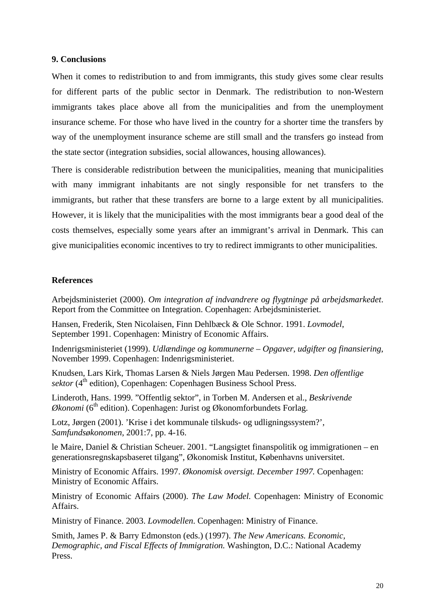## **9. Conclusions**

When it comes to redistribution to and from immigrants, this study gives some clear results for different parts of the public sector in Denmark. The redistribution to non-Western immigrants takes place above all from the municipalities and from the unemployment insurance scheme. For those who have lived in the country for a shorter time the transfers by way of the unemployment insurance scheme are still small and the transfers go instead from the state sector (integration subsidies, social allowances, housing allowances).

There is considerable redistribution between the municipalities, meaning that municipalities with many immigrant inhabitants are not singly responsible for net transfers to the immigrants, but rather that these transfers are borne to a large extent by all municipalities. However, it is likely that the municipalities with the most immigrants bear a good deal of the costs themselves, especially some years after an immigrant's arrival in Denmark. This can give municipalities economic incentives to try to redirect immigrants to other municipalities.

# **References**

Arbejdsministeriet (2000). *Om integration af indvandrere og flygtninge på arbejdsmarkedet*. Report from the Committee on Integration. Copenhagen: Arbejdsministeriet.

Hansen, Frederik, Sten Nicolaisen, Finn Dehlbæck & Ole Schnor. 1991. *Lovmodel*, September 1991. Copenhagen: Ministry of Economic Affairs.

Indenrigsministeriet (1999). *Udlændinge og kommunerne – Opgaver, udgifter og finansiering*, November 1999. Copenhagen: Indenrigsministeriet.

Knudsen, Lars Kirk, Thomas Larsen & Niels Jørgen Mau Pedersen. 1998. *Den offentlige sektor* (4<sup>th</sup> edition), Copenhagen: Copenhagen Business School Press.

Linderoth, Hans. 1999. "Offentlig sektor", in Torben M. Andersen et al., *Beskrivende*   $Økonomi$  ( $6<sup>th</sup>$  edition). Copenhagen: Jurist og Økonomforbundets Forlag.

Lotz, Jørgen (2001). 'Krise i det kommunale tilskuds- og udligningssystem?', *Samfundsøkonomen*, 2001:7, pp. 4-16.

le Maire, Daniel & Christian Scheuer. 2001. "Langsigtet finanspolitik og immigrationen – en generationsregnskapsbaseret tilgang", Økonomisk Institut, Københavns universitet.

Ministry of Economic Affairs. 1997. *Økonomisk oversigt. December 1997.* Copenhagen: Ministry of Economic Affairs.

Ministry of Economic Affairs (2000). *The Law Model.* Copenhagen: Ministry of Economic Affairs.

Ministry of Finance. 2003. *Lovmodellen*. Copenhagen: Ministry of Finance.

Smith, James P. & Barry Edmonston (eds.) (1997). *The New Americans. Economic, Demographic, and Fiscal Effects of Immigration.* Washington, D.C.: National Academy Press.